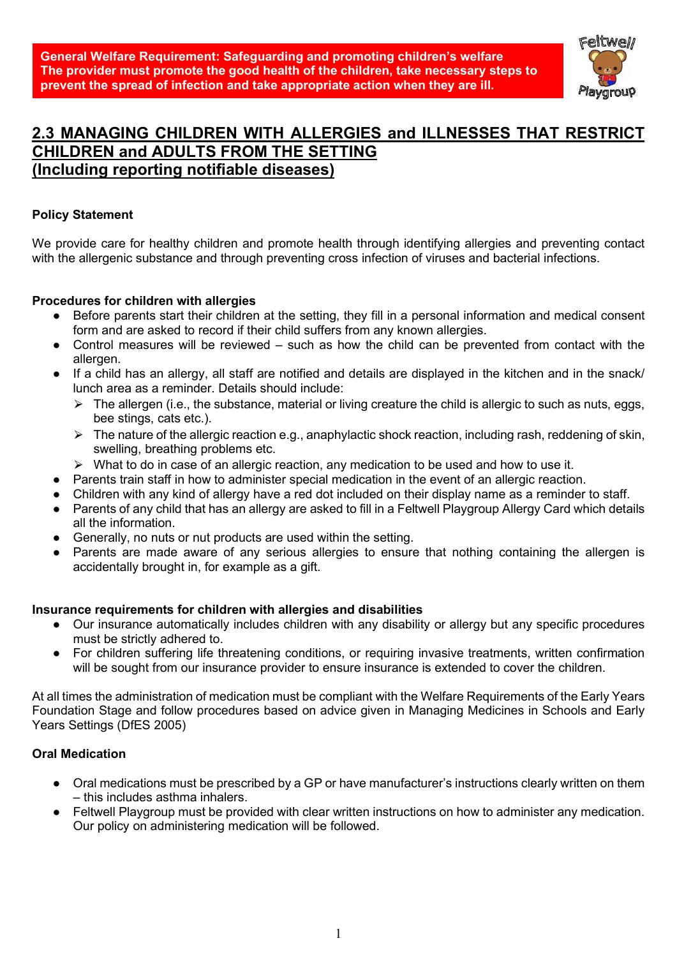

# 2.3 MANAGING CHILDREN WITH ALLERGIES and ILLNESSES THAT RESTRICT CHILDREN and ADULTS FROM THE SETTING (Including reporting notifiable diseases)

# Policy Statement

We provide care for healthy children and promote health through identifying allergies and preventing contact with the allergenic substance and through preventing cross infection of viruses and bacterial infections.

## Procedures for children with allergies

- Before parents start their children at the setting, they fill in a personal information and medical consent form and are asked to record if their child suffers from any known allergies.
- Control measures will be reviewed such as how the child can be prevented from contact with the allergen.
- If a child has an allergy, all staff are notified and details are displayed in the kitchen and in the snack/ lunch area as a reminder. Details should include:
	- $\triangleright$  The allergen (i.e., the substance, material or living creature the child is allergic to such as nuts, eggs, bee stings, cats etc.).
	- $\triangleright$  The nature of the allergic reaction e.g., anaphylactic shock reaction, including rash, reddening of skin, swelling, breathing problems etc.
	- ⮚ What to do in case of an allergic reaction, any medication to be used and how to use it.
- Parents train staff in how to administer special medication in the event of an allergic reaction.
- Children with any kind of allergy have a red dot included on their display name as a reminder to staff.
- Parents of any child that has an allergy are asked to fill in a Feltwell Playgroup Allergy Card which details all the information.
- Generally, no nuts or nut products are used within the setting.
- Parents are made aware of any serious allergies to ensure that nothing containing the allergen is accidentally brought in, for example as a gift.

## Insurance requirements for children with allergies and disabilities

- Our insurance automatically includes children with any disability or allergy but any specific procedures must be strictly adhered to.
- For children suffering life threatening conditions, or requiring invasive treatments, written confirmation will be sought from our insurance provider to ensure insurance is extended to cover the children.

At all times the administration of medication must be compliant with the Welfare Requirements of the Early Years Foundation Stage and follow procedures based on advice given in Managing Medicines in Schools and Early Years Settings (DfES 2005)

# Oral Medication

- Oral medications must be prescribed by a GP or have manufacturer's instructions clearly written on them – this includes asthma inhalers.
- Feltwell Playgroup must be provided with clear written instructions on how to administer any medication. Our policy on administering medication will be followed.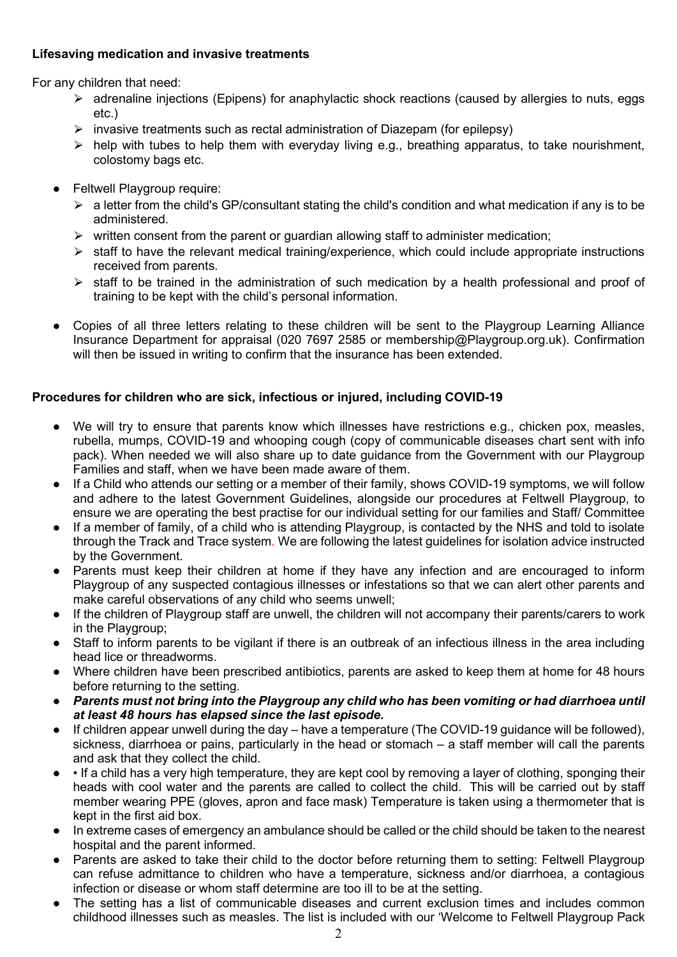# Lifesaving medication and invasive treatments

For any children that need:

- ⮚ adrenaline injections (Epipens) for anaphylactic shock reactions (caused by allergies to nuts, eggs etc.)
- $\triangleright$  invasive treatments such as rectal administration of Diazepam (for epilepsy)
- $\triangleright$  help with tubes to help them with everyday living e.g., breathing apparatus, to take nourishment, colostomy bags etc.
- **Feltwell Playgroup require:** 
	- $\triangleright$  a letter from the child's GP/consultant stating the child's condition and what medication if any is to be administered.
	- $\triangleright$  written consent from the parent or guardian allowing staff to administer medication;
	- $\triangleright$  staff to have the relevant medical training/experience, which could include appropriate instructions received from parents.
	- $\triangleright$  staff to be trained in the administration of such medication by a health professional and proof of training to be kept with the child's personal information.
- Copies of all three letters relating to these children will be sent to the Playgroup Learning Alliance Insurance Department for appraisal (020 7697 2585 or membership@Playgroup.org.uk). Confirmation will then be issued in writing to confirm that the insurance has been extended.

# Procedures for children who are sick, infectious or injured, including COVID-19

- We will try to ensure that parents know which illnesses have restrictions e.g., chicken pox, measles, rubella, mumps, COVID-19 and whooping cough (copy of communicable diseases chart sent with info pack). When needed we will also share up to date guidance from the Government with our Playgroup Families and staff, when we have been made aware of them.
- If a Child who attends our setting or a member of their family, shows COVID-19 symptoms, we will follow and adhere to the latest Government Guidelines, alongside our procedures at Feltwell Playgroup, to ensure we are operating the best practise for our individual setting for our families and Staff/ Committee
- If a member of family, of a child who is attending Playgroup, is contacted by the NHS and told to isolate through the Track and Trace system. We are following the latest guidelines for isolation advice instructed by the Government.
- Parents must keep their children at home if they have any infection and are encouraged to inform Playgroup of any suspected contagious illnesses or infestations so that we can alert other parents and make careful observations of any child who seems unwell;
- If the children of Playgroup staff are unwell, the children will not accompany their parents/carers to work in the Playgroup;
- Staff to inform parents to be vigilant if there is an outbreak of an infectious illness in the area including head lice or threadworms.
- Where children have been prescribed antibiotics, parents are asked to keep them at home for 48 hours before returning to the setting.
- Parents must not bring into the Playgroup any child who has been vomiting or had diarrhoea until at least 48 hours has elapsed since the last episode.
- If children appear unwell during the day have a temperature (The COVID-19 guidance will be followed), sickness, diarrhoea or pains, particularly in the head or stomach – a staff member will call the parents and ask that they collect the child.
- • If a child has a very high temperature, they are kept cool by removing a layer of clothing, sponging their heads with cool water and the parents are called to collect the child. This will be carried out by staff member wearing PPE (gloves, apron and face mask) Temperature is taken using a thermometer that is kept in the first aid box.
- In extreme cases of emergency an ambulance should be called or the child should be taken to the nearest hospital and the parent informed.
- Parents are asked to take their child to the doctor before returning them to setting: Feltwell Playgroup can refuse admittance to children who have a temperature, sickness and/or diarrhoea, a contagious infection or disease or whom staff determine are too ill to be at the setting.
- The setting has a list of communicable diseases and current exclusion times and includes common childhood illnesses such as measles. The list is included with our 'Welcome to Feltwell Playgroup Pack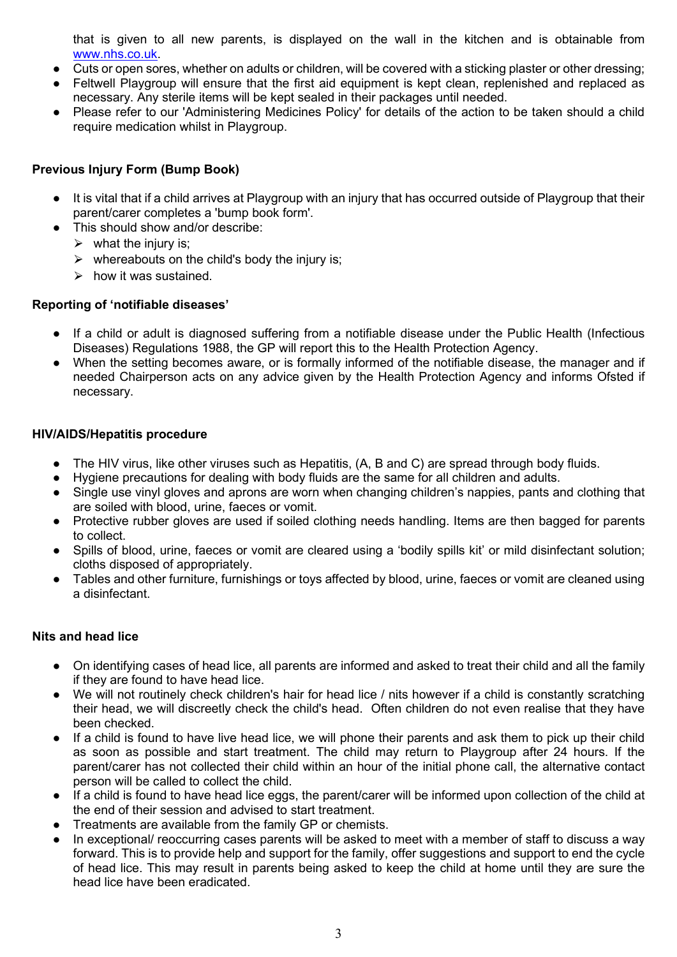that is given to all new parents, is displayed on the wall in the kitchen and is obtainable from www.nhs.co.uk.

- Cuts or open sores, whether on adults or children, will be covered with a sticking plaster or other dressing;
- Feltwell Playgroup will ensure that the first aid equipment is kept clean, replenished and replaced as necessary. Any sterile items will be kept sealed in their packages until needed.
- Please refer to our 'Administering Medicines Policy' for details of the action to be taken should a child require medication whilst in Playgroup.

## Previous Injury Form (Bump Book)

- It is vital that if a child arrives at Playgroup with an injury that has occurred outside of Playgroup that their parent/carer completes a 'bump book form'.
- This should show and/or describe:
	- $\triangleright$  what the injury is:
	- $\triangleright$  whereabouts on the child's body the injury is;
	- $\triangleright$  how it was sustained.

## Reporting of 'notifiable diseases'

- If a child or adult is diagnosed suffering from a notifiable disease under the Public Health (Infectious Diseases) Regulations 1988, the GP will report this to the Health Protection Agency.
- When the setting becomes aware, or is formally informed of the notifiable disease, the manager and if needed Chairperson acts on any advice given by the Health Protection Agency and informs Ofsted if necessary.

## HIV/AIDS/Hepatitis procedure

- The HIV virus, like other viruses such as Hepatitis, (A, B and C) are spread through body fluids.
- Hygiene precautions for dealing with body fluids are the same for all children and adults.
- Single use vinyl gloves and aprons are worn when changing children's nappies, pants and clothing that are soiled with blood, urine, faeces or vomit.
- Protective rubber gloves are used if soiled clothing needs handling. Items are then bagged for parents to collect.
- Spills of blood, urine, faeces or vomit are cleared using a 'bodily spills kit' or mild disinfectant solution; cloths disposed of appropriately.
- Tables and other furniture, furnishings or toys affected by blood, urine, faeces or vomit are cleaned using a disinfectant.

## Nits and head lice

- On identifying cases of head lice, all parents are informed and asked to treat their child and all the family if they are found to have head lice.
- We will not routinely check children's hair for head lice / nits however if a child is constantly scratching their head, we will discreetly check the child's head. Often children do not even realise that they have been checked.
- If a child is found to have live head lice, we will phone their parents and ask them to pick up their child as soon as possible and start treatment. The child may return to Playgroup after 24 hours. If the parent/carer has not collected their child within an hour of the initial phone call, the alternative contact person will be called to collect the child.
- If a child is found to have head lice eggs, the parent/carer will be informed upon collection of the child at the end of their session and advised to start treatment.
- Treatments are available from the family GP or chemists.
- In exceptional/ reoccurring cases parents will be asked to meet with a member of staff to discuss a way forward. This is to provide help and support for the family, offer suggestions and support to end the cycle of head lice. This may result in parents being asked to keep the child at home until they are sure the head lice have been eradicated.